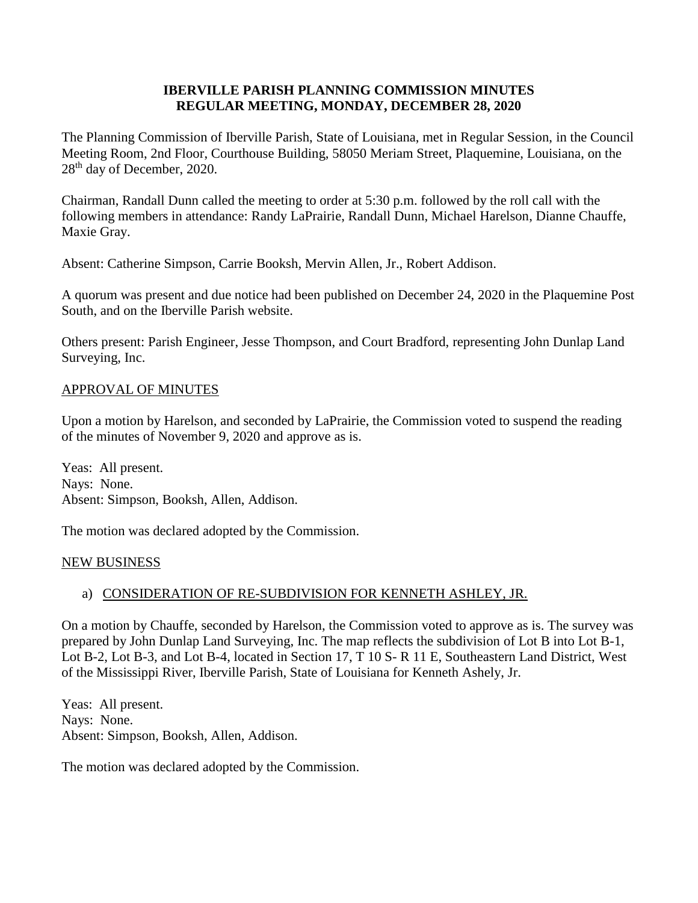#### **IBERVILLE PARISH PLANNING COMMISSION MINUTES REGULAR MEETING, MONDAY, DECEMBER 28, 2020**

The Planning Commission of Iberville Parish, State of Louisiana, met in Regular Session, in the Council Meeting Room, 2nd Floor, Courthouse Building, 58050 Meriam Street, Plaquemine, Louisiana, on the 28th day of December, 2020.

Chairman, Randall Dunn called the meeting to order at 5:30 p.m. followed by the roll call with the following members in attendance: Randy LaPrairie, Randall Dunn, Michael Harelson, Dianne Chauffe, Maxie Gray.

Absent: Catherine Simpson, Carrie Booksh, Mervin Allen, Jr., Robert Addison.

A quorum was present and due notice had been published on December 24, 2020 in the Plaquemine Post South, and on the Iberville Parish website.

Others present: Parish Engineer, Jesse Thompson, and Court Bradford, representing John Dunlap Land Surveying, Inc.

#### APPROVAL OF MINUTES

Upon a motion by Harelson, and seconded by LaPrairie, the Commission voted to suspend the reading of the minutes of November 9, 2020 and approve as is.

Yeas: All present. Nays: None. Absent: Simpson, Booksh, Allen, Addison.

The motion was declared adopted by the Commission.

#### NEW BUSINESS

# a) CONSIDERATION OF RE-SUBDIVISION FOR KENNETH ASHLEY, JR.

On a motion by Chauffe, seconded by Harelson, the Commission voted to approve as is. The survey was prepared by John Dunlap Land Surveying, Inc. The map reflects the subdivision of Lot B into Lot B-1, Lot B-2, Lot B-3, and Lot B-4, located in Section 17, T 10 S- R 11 E, Southeastern Land District, West of the Mississippi River, Iberville Parish, State of Louisiana for Kenneth Ashely, Jr.

Yeas: All present. Nays: None. Absent: Simpson, Booksh, Allen, Addison.

The motion was declared adopted by the Commission.